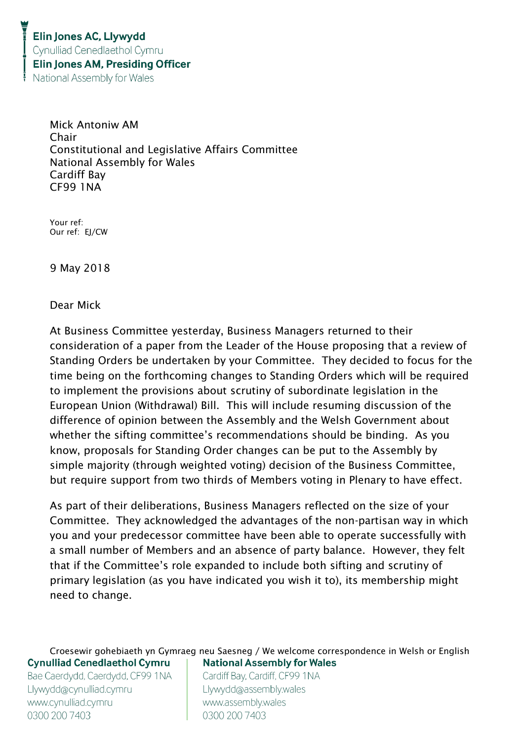Mick Antoniw AM Chair Constitutional and Legislative Affairs Committee National Assembly for Wales Cardiff Bay CF99 1NA

Your ref: Our ref: EJ/CW

9 May 2018

Dear Mick

At Business Committee yesterday, Business Managers returned to their consideration of a paper from the Leader of the House proposing that a review of Standing Orders be undertaken by your Committee. They decided to focus for the time being on the forthcoming changes to Standing Orders which will be required to implement the provisions about scrutiny of subordinate legislation in the European Union (Withdrawal) Bill. This will include resuming discussion of the difference of opinion between the Assembly and the Welsh Government about whether the sifting committee's recommendations should be binding. As you know, proposals for Standing Order changes can be put to the Assembly by simple majority (through weighted voting) decision of the Business Committee, but require support from two thirds of Members voting in Plenary to have effect.

As part of their deliberations, Business Managers reflected on the size of your Committee. They acknowledged the advantages of the non-partisan way in which you and your predecessor committee have been able to operate successfully with a small number of Members and an absence of party balance. However, they felt that if the Committee's role expanded to include both sifting and scrutiny of primary legislation (as you have indicated you wish it to), its membership might need to change.

Croesewir gohebiaeth yn Gymraeg neu Saesneg / We welcome correspondence in Welsh or English **Cynulliad Cenedlaethol Cymru National Assembly for Wales** 

Bae Caerdydd, Caerdydd, CF99 1NA Llywydd@cynulliad.cymru www.cynulliad.cymru 0300 200 7403

Cardiff Bay, Cardiff, CF99 1NA Llywydd@assembly.wales www.assembly.wales 0300 200 7403